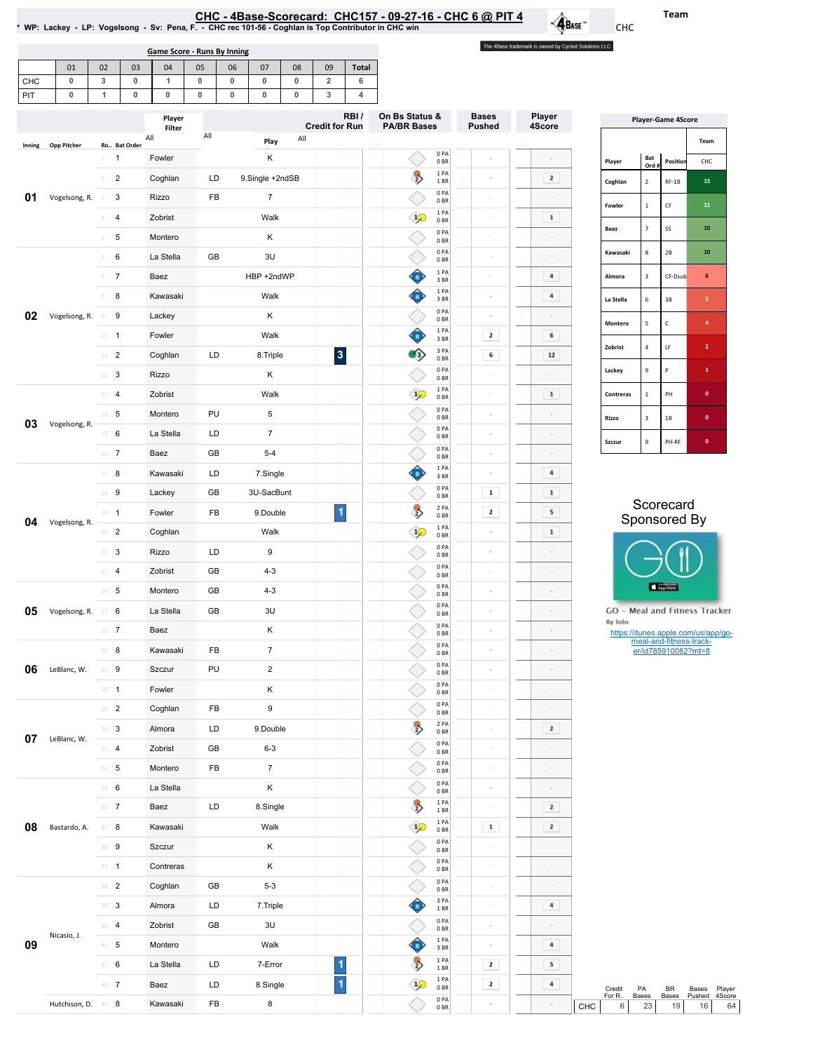## EHC - 4Base-Scorecard: CHC157 - 09-27-16 - CHC 6 @ PIT 4 في CHC - 4Base-Scorecard: CHC157 - 09-27-16<br>WP: Lackey - LP: Vogelsong - Sv: Pena, F. - CHC rec 101-56 - Coghlan is Top Contributor in CHC win \*

01 | 02 | 03 | 04 | 05 | 06 | 07 | 08 | 09 | Total |

Game Score - Runs By Inning

 $\overline{\phantom{0}}$ 

The 4Base trademark is owned by Cycled Solutions LLC.

 $\cdot$   $\bullet$  Base

|                     |                    |                                         | Player           |                |                 |             | RBI/<br><b>Credit for Run</b> | On Bs Status &<br><b>PA/BR Bases</b> |                         | <b>Bases</b><br><b>Pushed</b> | Player<br>4Score |                                          | Player-Game 4Score |                                                                              |                                     |  |  |
|---------------------|--------------------|-----------------------------------------|------------------|----------------|-----------------|-------------|-------------------------------|--------------------------------------|-------------------------|-------------------------------|------------------|------------------------------------------|--------------------|------------------------------------------------------------------------------|-------------------------------------|--|--|
|                     |                    |                                         | Filter<br>All    | All            |                 | All<br>Play |                               |                                      |                         |                               |                  |                                          |                    |                                                                              | Team                                |  |  |
| Inning              | <b>Opp Pitcher</b> | Ro Bat Order<br>$\overline{1}$<br>$1 -$ | Fowler           |                | Κ               |             |                               |                                      | 0PA<br>0 <sub>BR</sub>  |                               | $\overline{a}$   | Player                                   | Bat                | Position                                                                     | CHC                                 |  |  |
|                     |                    | $\overline{2}$<br>$\overline{2}$        | Coghlan          | LD             | 9.Single +2ndSB |             |                               | $\rightarrow$                        | 1PA<br>1 BR             | $\overline{a}$                | $\mathbf{z}$     |                                          | Ord #              | $RF-1B$                                                                      | 15                                  |  |  |
| 01                  | Vogelsong, R.      | 3<br>3                                  | Rizzo            | FB             | $\overline{7}$  |             |                               |                                      | 0PA<br>0 <sub>BR</sub>  | $\alpha$                      |                  | Coghlan                                  | $\mathbf 2$        |                                                                              |                                     |  |  |
|                     |                    | $\overline{4}$<br>$\varDelta$           | Zobrist          |                | Walk            |             |                               | $\mathcal{L}$                        | 1PA                     | $\sim$                        | $\mathbf 1$      | Fowler                                   | $\mathbf 1$        | $\mathsf{CF}$                                                                | $11\,$                              |  |  |
|                     |                    | 5<br>5                                  | Montero          |                | Κ               |             |                               |                                      | 0 <sub>BR</sub><br>0PA  |                               |                  | Baez                                     | $\overline{7}$     | SS                                                                           | 10                                  |  |  |
|                     |                    | 6<br>6                                  | La Stella        | GB             | 3U              |             |                               |                                      | 0 <sub>BR</sub><br>0PA  |                               |                  | Kawasaki                                 | 8                  | 2B                                                                           | 10                                  |  |  |
|                     |                    | $\overline{7}$<br>7                     | Baez             |                | HBP +2ndWP      |             |                               | ✿                                    | 0 <sub>BR</sub><br>1PA  |                               | 4                | Almora                                   | 3                  | CF-Dsub                                                                      | $\,$ 6 $\,$                         |  |  |
|                     |                    | 8<br>8                                  | Kawasaki         |                | Walk            |             |                               | R                                    | 3 BR<br>1PA             | $\overline{a}$                | $\bf{4}$         |                                          |                    |                                                                              |                                     |  |  |
| 02                  | Vogelsong, R.      | 9<br>$^{\circ}$                         | Lackey           |                | Κ               |             |                               |                                      | 3BR<br>0PA              |                               |                  | La Stella                                | 6                  | $3\mathsf{B}$                                                                | $\overline{\mathbf{5}}$             |  |  |
|                     |                    | $10 - 1$                                | Fowler           |                | Walk            |             |                               | Ô                                    | 0 <sub>BR</sub><br>1PA  | $\mathbf{z}$                  | 6                | Montero                                  | 5                  | $\mathsf{C}$                                                                 | $\overline{4}$                      |  |  |
|                     |                    | $\overline{2}$                          |                  | LD             |                 |             |                               | $\circ$                              | 3BR<br>3 PA             | 6                             | $12\,$           | Zobrist                                  | $\sqrt{4}$         | $\mathsf{LF}% _{0}\left( t\right) \rightarrow\mathsf{LF}_{0}\left( t\right)$ | $\overline{2}$                      |  |  |
|                     |                    | $11\,$<br>$12 \t3$                      | Coghlan<br>Rizzo |                | 8.Triple<br>Κ   |             | $\overline{\mathbf{3}}$       |                                      | 0 <sub>BR</sub><br>0PA  | $\sim$                        |                  | Lackey                                   | $\boldsymbol{9}$   | P                                                                            | $\mathbf 1$                         |  |  |
|                     |                    |                                         |                  |                |                 |             |                               |                                      | 0 <sub>BR</sub><br>1 PA | $\bar{a}$                     | $\mathbf{1}$     |                                          |                    |                                                                              | $\pmb{0}$                           |  |  |
|                     |                    | $13 - 4$                                | Zobrist          |                | Walk            |             |                               | $\frac{1}{2}$                        | 0 <sub>BR</sub><br>0PA  |                               |                  | Contreras                                | $1\,$              | PH                                                                           |                                     |  |  |
| 03<br>Vogelsong, R. | $14 - 5$           | Montero                                 | PU               | $\,$ 5 $\,$    |                 |             |                               | 0 <sub>BR</sub><br>0PA               |                         |                               | Rizzo            | $\overline{\mathbf{3}}$                  | $1\mathrm{B}$      | $\pmb{0}$                                                                    |                                     |  |  |
|                     | $15 \t 6$          | La Stella                               | LD               | $\overline{7}$ |                 |             |                               | 0 <sub>BR</sub><br>0PA               | $\bar{a}$               |                               | Szczur           | 9                                        | PH-RF              | $\mathbf{0}^-$                                                               |                                     |  |  |
|                     | $16$ 7             | Baez                                    | GB               | $5 - 4$        |                 |             |                               | 0 <sub>BR</sub><br>1PA               |                         |                               |                  |                                          |                    |                                                                              |                                     |  |  |
|                     |                    | $17 - 8$                                | Kawasaki         | LD             | 7.Single        |             |                               | ♦                                    | 3BR<br>0PA              | $\overline{a}$                | 4                |                                          |                    |                                                                              |                                     |  |  |
| 04<br>Vogelsong, R. |                    | 18 9                                    | Lackey           | GB             | 3U-SacBunt      |             |                               |                                      | 0 <sub>BR</sub><br>2 PA | $\mathbf 1$                   | $\mathbf 1$      |                                          | Scorecard          |                                                                              |                                     |  |  |
|                     |                    | $19 - 1$                                | Fowler           | FB             | 9.Double        |             | $\vert$ 1                     | $\rightarrow$                        | 0 <sub>BR</sub><br>1PA  | $\mathbf{z}$                  | 5                | Sponsored By                             |                    |                                                                              |                                     |  |  |
|                     |                    | $20 - 2$                                | Coghlan          |                | Walk            |             |                               | $\mathcal{P}$                        | 0 <sub>BR</sub>         | $\sim$                        | $1\,$            |                                          |                    |                                                                              |                                     |  |  |
|                     |                    | $21 - 3$                                | Rizzo            | LD             | 9               |             |                               |                                      | 0PA<br>0 <sub>BR</sub>  |                               |                  |                                          |                    |                                                                              |                                     |  |  |
|                     | $22 - 4$           | Zobrist                                 | GB               | $4 - 3$        |                 |             |                               | 0PA<br>0 <sub>BR</sub>               |                         |                               |                  |                                          |                    |                                                                              |                                     |  |  |
|                     |                    | $23 \t 5$                               | Montero          | GB             | $4 - 3$         |             |                               |                                      | 0PA<br>0 <sub>BR</sub>  | $\sim$                        | $\bar{a}$        |                                          |                    | App Store                                                                    |                                     |  |  |
| 05                  | Vogelsong, R.      | $24 - 6$                                | La Stella        | GB             | 3U              |             |                               |                                      | 0PA<br>0 <sub>BR</sub>  | $\sim$                        | $\equiv$         | GO - Meal and Fitness Tracker<br>By Iolo |                    |                                                                              |                                     |  |  |
|                     |                    | $25 \t 7$                               | Baez             |                | Κ               |             |                               |                                      | 0PA<br>0 <sub>BR</sub>  | $\sim$                        | $\equiv$         |                                          |                    | meal-and-fitness-track-                                                      | https://itunes.apple.com/us/app/go- |  |  |
|                     |                    | $26$ 8                                  | Kawasaki         | FB             | $\overline{7}$  |             |                               |                                      | 0PA<br>0 <sub>BR</sub>  | $\sim$                        | $\sim$           |                                          |                    | er/id785910082?mt=8                                                          |                                     |  |  |
| 06                  | LeBlanc, W.        | 9<br>27                                 | Szczur           | PU             | $\overline{2}$  |             |                               |                                      | 0PA<br>0 <sub>BR</sub>  |                               | $\sim$           |                                          |                    |                                                                              |                                     |  |  |
|                     |                    | $28 - 1$                                | Fowler           |                | Κ               |             |                               |                                      | 0PA<br>0 <sub>BR</sub>  |                               |                  |                                          |                    |                                                                              |                                     |  |  |
|                     |                    | $29 - 2$                                | Coghlan          | FB             | 9               |             |                               |                                      | 0PA<br>0 <sub>BR</sub>  | $\sim$                        | $\equiv$         |                                          |                    |                                                                              |                                     |  |  |
|                     |                    | $30-3$                                  | Almora           | LD             | 9.Double        |             |                               | $\rightarrow$                        | 2 PA<br>0 <sub>BR</sub> | $\sim$                        | $\overline{2}$   |                                          |                    |                                                                              |                                     |  |  |
| 07                  | LeBlanc, W.        | $31 - 4$                                | Zobrist          | GB             | $6 - 3$         |             |                               |                                      | 0PA<br>0 <sub>BR</sub>  |                               |                  |                                          |                    |                                                                              |                                     |  |  |
|                     |                    | $32 - 5$                                | Montero          | FB             | $\overline{7}$  |             |                               |                                      | 0PA<br>0 <sub>BR</sub>  | $\sim$                        |                  |                                          |                    |                                                                              |                                     |  |  |
|                     |                    | 33 6                                    | La Stella        |                | Κ               |             |                               |                                      | 0PA<br>0 <sub>BR</sub>  | $\alpha$                      | $\equiv$         |                                          |                    |                                                                              |                                     |  |  |
|                     |                    | $34 \t7$                                | Baez             | LD             | 8.Single        |             |                               | $\rightarrow$                        | 1PA<br>1 BR             | $\alpha$                      | $\mathbf{z}$     |                                          |                    |                                                                              |                                     |  |  |
| 08                  | Bastardo, A.       | $35 - 8$                                | Kawasaki         |                | Walk            |             |                               | $\mathcal{L}$                        | 1 PA<br>0 <sub>BR</sub> | $\mathbf 1$                   | $\mathbf{z}$     |                                          |                    |                                                                              |                                     |  |  |
|                     |                    | 36 9                                    | Szczur           |                | Κ               |             |                               |                                      | 0PA<br>0 <sub>BR</sub>  |                               |                  |                                          |                    |                                                                              |                                     |  |  |
|                     |                    | $37 - 1$                                | Contreras        |                | Κ               |             |                               |                                      | 0PA<br>0 <sub>BR</sub>  |                               | $\equiv$         |                                          |                    |                                                                              |                                     |  |  |
|                     |                    | $38 - 2$                                | Coghlan          | GB             | $5 - 3$         |             |                               |                                      | 0PA<br>0 <sub>BR</sub>  | $\sim$                        | $\equiv$         |                                          |                    |                                                                              |                                     |  |  |
|                     |                    | $39 - 3$                                | Almora           | LD             | 7.Triple        |             |                               | ♦                                    | 3 PA<br>1 BR            | $\sim$                        | $\bf{4}$         |                                          |                    |                                                                              |                                     |  |  |
|                     |                    | 40 4                                    | Zobrist          | GB             | 3U              |             |                               |                                      | 0PA<br>$0\,\mathrm{BR}$ | $\sim$                        |                  |                                          |                    |                                                                              |                                     |  |  |
| 09                  | Nicasio, J.        | $41 - 5$                                | Montero          |                | Walk            |             |                               | G                                    | 1PA<br>3 BR             | $\sim$                        | $\bf{4}$         |                                          |                    |                                                                              |                                     |  |  |
|                     |                    | 42 6                                    | La Stella        | LD             | 7-Error         |             | $\vert$                       | $\rightarrow$                        | 1PA                     | $\mathbf{z}$                  | 5                |                                          |                    |                                                                              |                                     |  |  |
|                     |                    | 43 7                                    | Baez             | LD             | 8.Single        |             | $\vert$ 1                     | $\mathcal{P}$                        | 1 BR<br>1PA             | $\mathbf{z}$                  | $\overline{4}$   |                                          |                    |                                                                              |                                     |  |  |
|                     |                    |                                         |                  |                |                 |             |                               |                                      | 0 <sub>BR</sub>         |                               |                  | Credit<br>For R                          | PA<br>Bases        | BR<br>Bases                                                                  | Player<br>Bases<br>Pushed<br>4Score |  |  |

| <b>Player-Game 4Score</b> |                         |          |                         |  |  |  |  |  |  |  |
|---------------------------|-------------------------|----------|-------------------------|--|--|--|--|--|--|--|
|                           |                         |          | Team                    |  |  |  |  |  |  |  |
| Player                    | Bat<br>Ord#             | Position | CHC                     |  |  |  |  |  |  |  |
| Coghlan                   | $\overline{a}$          | $RF-1B$  | 15                      |  |  |  |  |  |  |  |
| Fowler                    | $\mathbf{1}$            | CF       | 11                      |  |  |  |  |  |  |  |
| Baez                      | $\overline{7}$          | SS       | 10                      |  |  |  |  |  |  |  |
| Kawasaki                  | 8                       | 2B       | 10                      |  |  |  |  |  |  |  |
| Almora                    | $\overline{3}$          | CF-Dsub  | 6                       |  |  |  |  |  |  |  |
| La Stella                 | 6                       | 3B       | $\overline{\mathbf{5}}$ |  |  |  |  |  |  |  |
| Montero                   | 5                       | C        | 4                       |  |  |  |  |  |  |  |
| Zobrist                   | $\overline{4}$          | LF       | $\overline{2}$          |  |  |  |  |  |  |  |
| Lackey                    | 9                       | P        | $\mathbf{1}$            |  |  |  |  |  |  |  |
| Contreras                 | $\overline{1}$          | PH       | $\mathbf{0}$            |  |  |  |  |  |  |  |
| Rizzo                     | $\overline{\mathbf{3}}$ | 1B       | $\mathbf{0}$            |  |  |  |  |  |  |  |
| Szczur                    | 9                       | PH-RF    | $\mathbf{0}$            |  |  |  |  |  |  |  |

### **Scorecard** ponsored By



Team

CHC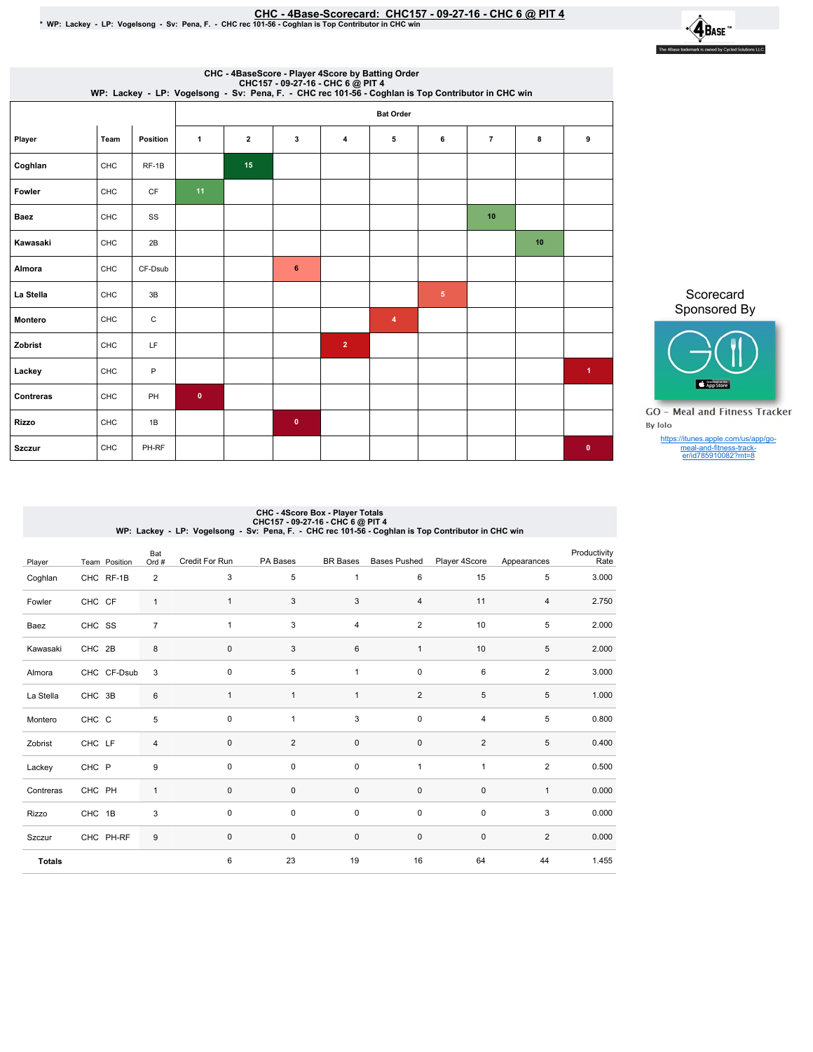## <u>CHC - 4Base-Scorecard: CHC157 - 09-27-16 - CHC 6 @ PIT 4.</u><br>WP: Lackey - LP: Vogelsong - Sv: Pena, F. - CHC rec 101-56 - Coghlan is Top Contributor in CHC win \*

 $\cdot \mathbf{A}_{\text{Base}}$ The 4Base trademark is owned by Cycled Solutions LLC

|               | CHC - 4BaseScore - Player 4Score by Batting Order<br>CHC157 - 09-27-16 - CHC 6 @ PIT 4<br>WP: Lackey - LP: Vogelsong - Sv: Pena, F. - CHC rec 101-56 - Coghlan is Top Contributor in CHC win |           |                |                         |              |                |   |                |                |    |              |  |  |  |
|---------------|----------------------------------------------------------------------------------------------------------------------------------------------------------------------------------------------|-----------|----------------|-------------------------|--------------|----------------|---|----------------|----------------|----|--------------|--|--|--|
|               |                                                                                                                                                                                              |           |                | <b>Bat Order</b>        |              |                |   |                |                |    |              |  |  |  |
| Player        | Team                                                                                                                                                                                         | Position  | $\overline{1}$ | $\overline{\mathbf{2}}$ | 3            | 4              | 5 | 6              | $\overline{7}$ | 8  | 9            |  |  |  |
| Coghlan       | CHC                                                                                                                                                                                          | $RF-1B$   |                | 15                      |              |                |   |                |                |    |              |  |  |  |
| Fowler        | CHC                                                                                                                                                                                          | <b>CF</b> | 11             |                         |              |                |   |                |                |    |              |  |  |  |
| <b>Baez</b>   | CHC                                                                                                                                                                                          | SS        |                |                         |              |                |   |                | 10             |    |              |  |  |  |
| Kawasaki      | CHC                                                                                                                                                                                          | 2B        |                |                         |              |                |   |                |                | 10 |              |  |  |  |
| Almora        | CHC                                                                                                                                                                                          | CF-Dsub   |                |                         | 6            |                |   |                |                |    |              |  |  |  |
| La Stella     | CHC                                                                                                                                                                                          | 3B        |                |                         |              |                |   | $\overline{5}$ |                |    |              |  |  |  |
| Montero       | CHC                                                                                                                                                                                          | C         |                |                         |              |                | 4 |                |                |    |              |  |  |  |
| Zobrist       | CHC                                                                                                                                                                                          | LF        |                |                         |              | $\overline{2}$ |   |                |                |    |              |  |  |  |
| Lackey        | CHC                                                                                                                                                                                          | P         |                |                         |              |                |   |                |                |    | $\mathbf{1}$ |  |  |  |
| Contreras     | CHC                                                                                                                                                                                          | PH        | $\mathbf{0}$   |                         |              |                |   |                |                |    |              |  |  |  |
| <b>Rizzo</b>  | CHC                                                                                                                                                                                          | 1B        |                |                         | $\mathbf{0}$ |                |   |                |                |    |              |  |  |  |
| <b>Szczur</b> | CHC                                                                                                                                                                                          | PH-RF     |                |                         |              |                |   |                |                |    | $\mathbf 0$  |  |  |  |

Scorecard Sponsored By



**GO** - Meal and Fitness Tracker By Iolo

https://itunes.apple.com/us/app/go-meal-and-fitness-track-er/id785910082?mt=8

# CHC - 4Score Box - Player Totals<br>CHC157 - 09-27-16 - CHC157<br>WP: Lackey - LP: Vogelsong - Sv: Pena, F. - CHC rec 101-56 - Coghlan is Top Contributor in CHC win

| Player        | Team Position |             | Bat<br>Ord #   | Credit For Run | PA Bases       | <b>BR</b> Bases | <b>Bases Pushed</b> | Player 4Score  | Appearances    | Productivity<br>Rate |
|---------------|---------------|-------------|----------------|----------------|----------------|-----------------|---------------------|----------------|----------------|----------------------|
| Coghlan       | CHC RF-1B     |             | $\overline{2}$ | 3              | 5              | $\mathbf{1}$    | 6                   | 15             | 5              | 3.000                |
| Fowler        | CHC CF        |             | $\overline{1}$ | $\mathbf{1}$   | 3              | 3               | $\overline{4}$      | 11             | 4              | 2.750                |
| Baez          | CHC SS        |             | $\overline{7}$ | $\mathbf{1}$   | 3              | 4               | $\overline{c}$      | $10$           | 5              | 2.000                |
| Kawasaki      | CHC 2B        |             | 8              | 0              | 3              | 6               | $\mathbf{1}$        | 10             | 5              | 2.000                |
| Almora        |               | CHC CF-Dsub | 3              | $\mathbf 0$    | 5              | $\mathbf{1}$    | $\mathbf 0$         | 6              | 2              | 3.000                |
| La Stella     | CHC 3B        |             | 6              | $\mathbf{1}$   | $\mathbf{1}$   | $\mathbf{1}$    | 2                   | $\,$ 5 $\,$    | 5              | 1.000                |
| Montero       | CHC C         |             | 5              | 0              | 1              | 3               | $\pmb{0}$           | 4              | 5              | 0.800                |
| Zobrist       | CHC LF        |             | $\overline{4}$ | 0              | $\overline{2}$ | $\pmb{0}$       | $\pmb{0}$           | $\overline{2}$ | 5              | 0.400                |
| Lackey        | CHC P         |             | 9              | 0              | 0              | $\pmb{0}$       | $\mathbf{1}$        | $\mathbf{1}$   | $\overline{2}$ | 0.500                |
| Contreras     | CHC PH        |             | $\overline{1}$ | $\mathbf 0$    | $\mathbf 0$    | $\pmb{0}$       | $\pmb{0}$           | $\pmb{0}$      | $\mathbf{1}$   | 0.000                |
| Rizzo         | CHC 1B        |             | 3              | 0              | 0              | $\pmb{0}$       | $\pmb{0}$           | $\pmb{0}$      | 3              | 0.000                |
| Szczur        | CHC PH-RF     |             | $9\,$          | 0              | $\pmb{0}$      | $\pmb{0}$       | $\pmb{0}$           | $\pmb{0}$      | $\overline{2}$ | 0.000                |
| <b>Totals</b> |               |             |                | 6              | 23             | 19              | 16                  | 64             | 44             | 1.455                |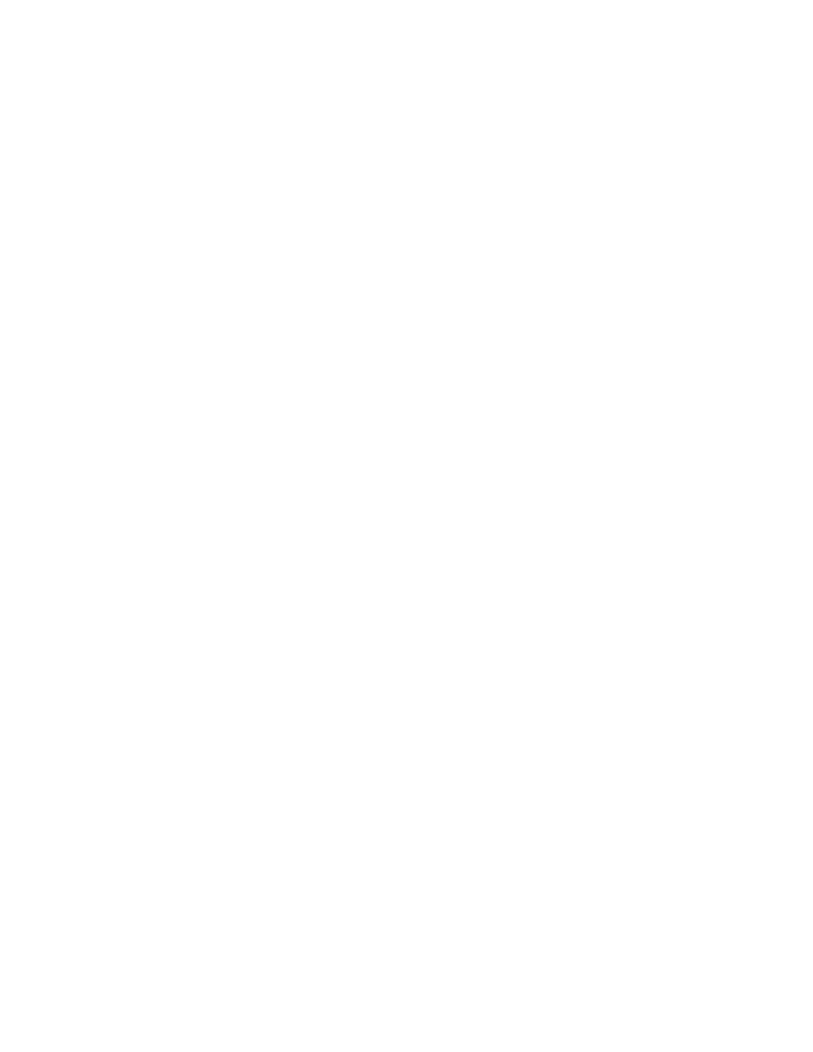| . ጼ | %DVH6FRUHFDLG & + &                     |
|-----|-----------------------------------------|
|     | & RIKODO IV 7RS & ROMMEXWRUIO & + & ZIO |

|              | & + & %DVH6FRUH 30D NU 6FRUHE %DWMQJ 2 UGHU<br>$8 + 8$<br>$8+8$ # 3,7<br>: 3 / DFNH / 3 9 RJHO/RQJ 6Y 3 HOD ) & + & UF & RJKODO LV 7 RS & ROWLEXWRULQ & + & ZLQ |                  |           |  |  |  |  |  |  |  |  |  |
|--------------|-----------------------------------------------------------------------------------------------------------------------------------------------------------------|------------------|-----------|--|--|--|--|--|--|--|--|--|
|              |                                                                                                                                                                 |                  | %DW2 UGHU |  |  |  |  |  |  |  |  |  |
| 300 HU       | 7HDP                                                                                                                                                            | 3 RVIMRQ         |           |  |  |  |  |  |  |  |  |  |
| & RJ KODQ    | $8 + 8$                                                                                                                                                         | 5) %             |           |  |  |  |  |  |  |  |  |  |
| ) RZ OHU     | $8 + 8$                                                                                                                                                         | &)               |           |  |  |  |  |  |  |  |  |  |
| %DH          | $8 + 8$                                                                                                                                                         | 66               |           |  |  |  |  |  |  |  |  |  |
| . DZ DVDNL   | $8 + 8$                                                                                                                                                         | %                |           |  |  |  |  |  |  |  |  |  |
| \$ OP RUD    | $8 + 8$                                                                                                                                                         | &) ' VXE         |           |  |  |  |  |  |  |  |  |  |
| $/DD6$ MACOD | $8 + 8$                                                                                                                                                         | %                |           |  |  |  |  |  |  |  |  |  |
| 0 RQMMUR     | $8 + 8$                                                                                                                                                         | &                |           |  |  |  |  |  |  |  |  |  |
| $=$ REUWW    | $8 + 8$                                                                                                                                                         | $\left( \right)$ |           |  |  |  |  |  |  |  |  |  |
| / DFNH       | $8 + 8$                                                                                                                                                         | 3                |           |  |  |  |  |  |  |  |  |  |
| & ROWHLDV    | $8 + 8$                                                                                                                                                         | $3+$             |           |  |  |  |  |  |  |  |  |  |
| $5$ 4] $R$   | $8 + 8$                                                                                                                                                         | $\%$             |           |  |  |  |  |  |  |  |  |  |
| 6] FJ XU     | $8 + 8$                                                                                                                                                         | $3+5)$           |           |  |  |  |  |  |  |  |  |  |

6 FRUHFDLG 6 SRQVRUHG%

<u>KWOSY WACHYDSSON FRP XVDSSJR</u><br>PHDCDQGILWOHAYWOFN<br><u>HULG "PW</u>

|                                             | & + & 6 FRUH%R[ 30D\HU7RWDOV<br>$8 + 8$<br>$8+8$ # 3.7 |                        |  |  |                                                                   |  |                                                                          |  |                     |  |  |  |
|---------------------------------------------|--------------------------------------------------------|------------------------|--|--|-------------------------------------------------------------------|--|--------------------------------------------------------------------------|--|---------------------|--|--|--|
|                                             |                                                        |                        |  |  | : $3$ / DFNH, $\sqrt{3}$ $9$ RJHOVRQJ $6$ Y $3$ HQD $)$ $8+8$ UHF |  | & RJKODQ LV 7RS & ROMMEXWRULQ & + & ZLQ                                  |  |                     |  |  |  |
| 30 NU                                       | 7HDP 3RVMLIRQ                                          | %DW<br>$2 \, \text{L}$ |  |  |                                                                   |  | & UHGLV) RU5XQ 3\$ %DVHV %6 %DVHV %DVHV 3XVKHG 300XHU 6FRUH \$SSHDUDGFHV |  | 3 URGXFWYUW<br>5 DM |  |  |  |
| & RJKODQ                                    | $8+8$ 5) %                                             |                        |  |  |                                                                   |  |                                                                          |  |                     |  |  |  |
| ) RZ OHU                                    | $& 8 + 8 & 8$                                          |                        |  |  |                                                                   |  |                                                                          |  |                     |  |  |  |
| %DH                                         | $&+8.66$                                               |                        |  |  |                                                                   |  |                                                                          |  |                     |  |  |  |
| . DZ DVDNL                                  | $&+8$ %                                                |                        |  |  |                                                                   |  |                                                                          |  |                     |  |  |  |
| \$ OP RUD                                   | &+& &) ' VXE                                           |                        |  |  |                                                                   |  |                                                                          |  |                     |  |  |  |
| /D6WMOD                                     | $& 8 + 8$ %                                            |                        |  |  |                                                                   |  |                                                                          |  |                     |  |  |  |
| 0 ROMUR                                     | $8 + 8$ $8$                                            |                        |  |  |                                                                   |  |                                                                          |  |                     |  |  |  |
| $=$ REUMV                                   | $8+8$ ()                                               |                        |  |  |                                                                   |  |                                                                          |  |                     |  |  |  |
| / DFNH                                      | $8 + 8$ 3                                              |                        |  |  |                                                                   |  |                                                                          |  |                     |  |  |  |
| & ROWHLDV                                   | $&+8$ 3+                                               |                        |  |  |                                                                   |  |                                                                          |  |                     |  |  |  |
| $5$ <sup><math>\parallel</math></sup> $ $ R | $& 8 + 8$ %                                            |                        |  |  |                                                                   |  |                                                                          |  |                     |  |  |  |
| 6] FJ XU                                    | $8+8$ 3+5)                                             |                        |  |  |                                                                   |  |                                                                          |  |                     |  |  |  |
| 7RWDOV                                      |                                                        |                        |  |  |                                                                   |  |                                                                          |  |                     |  |  |  |
|                                             |                                                        |                        |  |  |                                                                   |  |                                                                          |  |                     |  |  |  |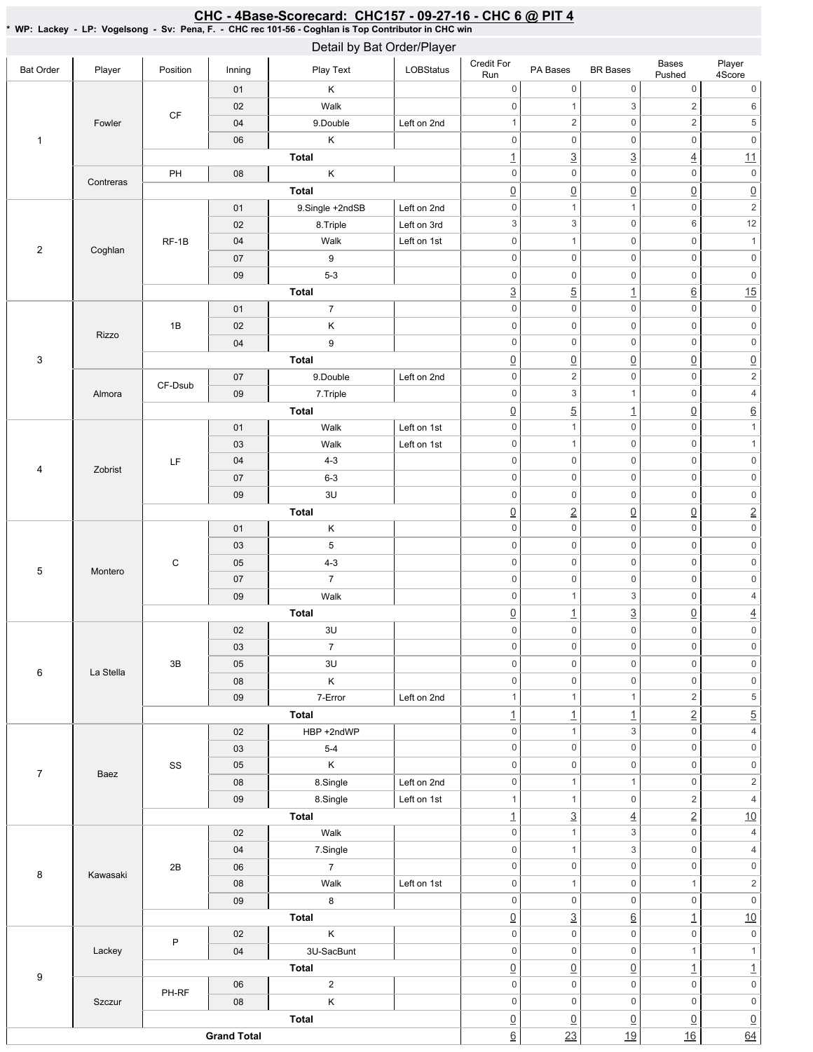### <u>CHC - 4Base-Scorecard: CHC157 - 09-27-16 - CHC 6 @ PIT 4</u> \*WP:Lackey-LP:Vogelsong-Sv:Pena,F.-CHCrec101-56-CoghlanisTopContributorinCHCwin

| Detail by Bat Order/Player |           |                        |                    |                            |             |                                    |                                 |                                |                                |                                  |                     |
|----------------------------|-----------|------------------------|--------------------|----------------------------|-------------|------------------------------------|---------------------------------|--------------------------------|--------------------------------|----------------------------------|---------------------|
| <b>Bat Order</b>           | Player    | Position               | Inning             | Play Text                  | LOBStatus   | Credit For<br>Run                  | PA Bases                        | <b>BR</b> Bases                | Bases<br>Pushed                | Player<br>4Score                 |                     |
|                            |           |                        | 01                 | Κ                          |             | $\mathsf 0$                        | $\mathbf 0$                     | $\mathbf 0$                    | $\mathsf 0$                    | 0                                |                     |
|                            |           |                        | 02                 | Walk                       |             | $\boldsymbol{0}$                   | $\mathbf{1}$                    | 3                              | $\overline{\mathbf{c}}$        | $\,6\,$                          |                     |
|                            | Fowler    | $\mathsf{C}\mathsf{F}$ | 04                 | 9.Double                   | Left on 2nd | $\mathbf{1}$                       | $\sqrt{2}$                      | $\mathbf 0$                    | $\overline{\mathbf{c}}$        | $\,$ 5 $\,$                      |                     |
| $\mathbf{1}$               |           |                        | 06                 | $\sf K$                    |             | $\boldsymbol{0}$                   | $\mathsf 0$                     | $\mathbf 0$                    | $\mathsf 0$                    | $\mathsf{0}$                     |                     |
|                            |           |                        |                    | Total                      |             | $\overline{1}$                     | $\underline{3}$                 | $\underline{3}$                | $\overline{4}$                 | 11                               |                     |
|                            |           | PH                     | 08                 | $\mathsf K$                |             | $\boldsymbol{0}$                   | $\mathbf 0$                     | $\mathbf 0$                    | $\mathsf{O}\xspace$            | $\mathsf{O}\xspace$              |                     |
|                            | Contreras |                        |                    | Total                      |             | $\underline{0}$                    | $\underline{0}$                 | $\underline{0}$                | $\underline{0}$                | $\underline{0}$                  |                     |
|                            |           |                        | 01                 | 9.Single +2ndSB            | Left on 2nd | $\mathsf{O}\xspace$                | $\mathbf{1}$                    | $\mathbf{1}$                   | $\mathsf 0$                    | $\sqrt{2}$                       |                     |
|                            |           |                        | 02                 | 8.Triple                   | Left on 3rd | $\ensuremath{\mathsf{3}}$          | $\ensuremath{\mathsf{3}}$       | $\mathbf 0$                    | 6                              | 12                               |                     |
| $\overline{2}$             | Coghlan   | $RF-1B$                | 04                 | Walk                       | Left on 1st | $\mathbf 0$                        | $\mathbf{1}$                    | $\mathbf 0$                    | $\mathsf 0$                    | $\mathbf{1}$                     |                     |
|                            |           |                        | 07                 | 9                          |             | $\boldsymbol{0}$                   | $\mathbf 0$                     | $\mathbf 0$                    | $\mathsf{O}\xspace$            | $\mathsf{0}$                     |                     |
|                            |           |                        | 09                 | $5 - 3$                    |             | $\mathsf 0$                        | $\mathbf 0$                     | $\mathbf 0$                    | $\mathsf{O}\xspace$            | $\mathsf{O}\xspace$              |                     |
|                            |           |                        |                    | Total                      |             | $\underline{3}$                    | $\underline{5}$                 | $\overline{1}$                 | $\underline{6}$                | 15                               |                     |
|                            |           |                        | 01                 | $\overline{7}$             |             | $\mathbf 0$                        | $\mathbf 0$                     | $\mathbf 0$                    | $\mathsf{O}\xspace$            | $\mathsf{0}$                     |                     |
|                            | Rizzo     | 1B                     | 02                 | $\sf K$                    |             | $\mathbf 0$                        | $\mathsf 0$                     | $\mathsf{O}\xspace$            | $\mathsf{O}\xspace$            | $\mathsf{0}$                     |                     |
|                            |           |                        | 04                 | 9                          |             | $\mathbf 0$                        | $\mathsf 0$                     | $\mathbf 0$                    | $\mathbf 0$                    | $\mathsf{0}$                     |                     |
| 3                          |           |                        |                    | Total                      |             | $\underline{0}$                    | $\underline{0}$                 | $\underline{0}$                | $\underline{0}$                | $\underline{0}$                  |                     |
|                            |           | CF-Dsub                | 07                 | 9.Double                   | Left on 2nd | $\boldsymbol{0}$                   | $\sqrt{2}$                      | $\mathbf 0$                    | $\mathsf 0$                    | $\overline{2}$                   |                     |
|                            | Almora    |                        | 09                 | 7.Triple                   |             | $\mathbf 0$                        | $\ensuremath{\mathsf{3}}$       | $\mathbf{1}$                   | $\mathsf{O}\xspace$            | $\overline{4}$                   |                     |
|                            |           |                        |                    | Total<br>Walk              | Left on 1st | $\underline{0}$<br>$\mathbf 0$     | $\underline{5}$<br>$\mathbf{1}$ | $\overline{1}$<br>$\mathbf 0$  | $\underline{0}$<br>$\mathsf 0$ | $\underline{6}$<br>$\mathbf{1}$  |                     |
|                            |           |                        | 01                 |                            |             | $\boldsymbol{0}$                   | $\mathbf{1}$                    | $\mathbf 0$                    | $\mathsf 0$                    | $\mathbf{1}$                     |                     |
|                            |           | LF                     | 03<br>04           | Walk<br>$4 - 3$            | Left on 1st | $\boldsymbol{0}$                   | $\mathsf 0$                     | $\mathbf 0$                    | $\mathsf 0$                    | $\mathsf{0}$                     |                     |
| 4                          | Zobrist   |                        | 07                 | $6 - 3$                    |             | $\mathbf 0$                        | $\mathsf 0$                     | $\mathbf 0$                    | $\mathsf 0$                    | $\mathsf{0}$                     |                     |
|                            |           |                        | 09                 | 3U                         |             | $\boldsymbol{0}$                   | $\mathsf{O}\xspace$             | $\mathbf 0$                    | $\mathsf 0$                    | $\mathsf{O}\xspace$              |                     |
|                            |           |                        |                    | Total                      |             | $\underline{0}$                    | $\underline{2}$                 | $\underline{0}$                | $\underline{0}$                | $\overline{2}$                   |                     |
|                            |           |                        | 01                 | $\sf K$                    |             | $\mathbf 0$                        | $\mathsf 0$                     | $\mathbf 0$                    | $\mathsf{O}\xspace$            | $\mathsf{O}\xspace$              |                     |
|                            |           |                        | 03                 | 5                          |             | $\mathbf 0$                        | $\mathbf 0$                     | $\mathbf 0$                    | $\mathsf 0$                    | $\mathsf{0}$                     |                     |
|                            |           | С                      | 05                 | $4 - 3$                    |             | $\mathsf{O}\xspace$                | $\mathbf 0$                     | $\mathbf 0$                    | $\mathsf 0$                    | $\mathsf{O}\xspace$              |                     |
| 5                          | Montero   |                        | 07                 | $\overline{7}$             |             | $\mathbf 0$                        | $\mathbf 0$                     | $\mathbf 0$                    | $\mathsf 0$                    | $\mathsf{O}\xspace$              |                     |
|                            |           |                        | 09                 | Walk                       |             | $\boldsymbol{0}$                   | $\mathbf{1}$                    | 3                              | $\mathsf 0$                    | $\overline{4}$                   |                     |
|                            |           |                        |                    | Total                      |             | $\underline{0}$                    | $\overline{1}$                  | $\underline{3}$                | $\underline{0}$                | $\underline{4}$                  |                     |
|                            | La Stella | 3B                     | 02                 | 3U                         |             | $\mathsf{O}\xspace$                | $\mathsf{O}\xspace$             | $\mathbf 0$                    | $\mathbf 0$                    | $\mathsf{O}\xspace$              |                     |
|                            |           |                        | 03                 | $\overline{7}$             |             | $\boldsymbol{0}$                   | $\mathbf 0$                     | $\boldsymbol{0}$               | $\boldsymbol{0}$               | 0                                |                     |
|                            |           |                        | 05                 | 3U                         |             | 0                                  | $\mathsf{O}\xspace$             | $\mathsf 0$                    | $\mathsf 0$                    | $\mathsf{O}\xspace$              |                     |
| 6                          |           |                        |                    | 08                         | Κ           |                                    | $\mathsf{O}\xspace$             | $\mathsf{O}\xspace$            | $\mathsf{O}\xspace$            | $\mathsf 0$                      | $\mathsf{O}\xspace$ |
|                            |           |                        | 09                 | 7-Error                    | Left on 2nd | $\mathbf{1}$                       | $\mathbf{1}$                    | $\mathbf{1}$                   | $\overline{c}$                 | $\,$ 5 $\,$                      |                     |
|                            |           |                        |                    | <b>Total</b>               |             | $\overline{1}$                     | $\overline{1}$                  | $\overline{1}$                 | $\underline{2}$                | $\overline{5}$                   |                     |
|                            |           |                        | 02                 | HBP +2ndWP                 |             | $\mathsf{O}\xspace$                | $\mathbf{1}$                    | 3                              | $\mathsf 0$                    | $\overline{4}$                   |                     |
|                            |           |                        | 03                 | $5 - 4$                    |             | $\mathbf 0$                        | $\mathsf{O}\xspace$             | $\mathsf{O}\xspace$            | $\mathsf 0$                    | $\mathsf{O}\xspace$              |                     |
| $\overline{7}$             | Baez      | SS                     | 05                 | Κ                          |             | $\mathbf 0$                        | $\mathbf 0$                     | $\mathsf{O}\xspace$            | 0                              | $\mathsf{O}\xspace$              |                     |
|                            |           |                        | 08                 | 8.Single                   | Left on 2nd | $\mathsf 0$                        | $\mathbf{1}$                    | $\mathbf{1}$                   | $\mathsf 0$                    | $\overline{c}$                   |                     |
|                            |           |                        | 09                 | 8.Single                   | Left on 1st | $\mathbf{1}$                       | $\mathbf{1}$                    | $\mathbf 0$                    | $\overline{\mathbf{c}}$        | $\overline{4}$                   |                     |
|                            |           |                        |                    | Total                      |             | $\overline{1}$                     | $\underline{3}$                 | $\underline{4}$                | $\overline{2}$                 | 10                               |                     |
|                            |           |                        | 02<br>04           | Walk                       |             | $\mathbf 0$<br>$\mathsf{O}\xspace$ | $\mathbf{1}$<br>$\mathbf{1}$    | $\ensuremath{\mathsf{3}}$<br>3 | $\mathbf 0$<br>$\mathsf 0$     | $\overline{4}$<br>$\overline{4}$ |                     |
|                            |           |                        |                    | 7.Single<br>$\overline{7}$ |             | $\mathsf{O}\xspace$                | $\mathsf{O}\xspace$             | $\mathbf 0$                    | $\mathsf 0$                    | $\mathsf{0}$                     |                     |
| 8                          | Kawasaki  | 2B                     | 06<br>08           | Walk                       | Left on 1st | $\mathsf{O}\xspace$                | $\mathbf{1}$                    | $\mathsf{O}\xspace$            | $\mathbf{1}$                   | $\overline{c}$                   |                     |
|                            |           |                        | 09                 | 8                          |             | $\mathsf{O}\xspace$                | $\mathsf{O}\xspace$             | $\mathsf 0$                    | $\mathsf 0$                    | $\mathsf{O}\xspace$              |                     |
|                            |           |                        |                    | <b>Total</b>               |             | $\underline{0}$                    | $\underline{3}$                 | $\underline{6}$                | $\overline{1}$                 | 10                               |                     |
|                            |           |                        | 02                 | Κ                          |             | $\mathsf{O}\xspace$                | $\mathsf{O}\xspace$             | $\mathbf 0$                    | $\mathsf 0$                    | $\mathsf{O}\xspace$              |                     |
|                            | Lackey    | $\mathsf P$            | 04                 | 3U-SacBunt                 |             | $\mathsf{O}\xspace$                | $\mathsf{O}\xspace$             | $\mathbf 0$                    | $\mathbf{1}$                   | $\mathbf{1}$                     |                     |
|                            |           |                        |                    | Total                      |             | $\underline{0}$                    | $\underline{0}$                 | $\underline{0}$                | $\overline{1}$                 | $\overline{1}$                   |                     |
| 9                          |           |                        | 06                 | $\overline{2}$             |             | $\mathbf 0$                        | $\mathbf 0$                     | $\mathbf 0$                    | $\mathsf 0$                    | $\mathsf{O}\xspace$              |                     |
|                            | Szczur    | PH-RF                  | 08                 | $\mathsf K$                |             | $\mathbf 0$                        | $\mathbf 0$                     | $\mathbf 0$                    | $\mathsf 0$                    | $\mathsf{0}$                     |                     |
|                            |           |                        |                    | Total                      |             | $\underline{0}$                    | $\underline{0}$                 | $\underline{0}$                | $\underline{0}$                | $\underline{0}$                  |                     |
|                            |           |                        | <b>Grand Total</b> |                            |             | $\underline{6}$                    | 23                              | 19                             | 16                             | 64                               |                     |